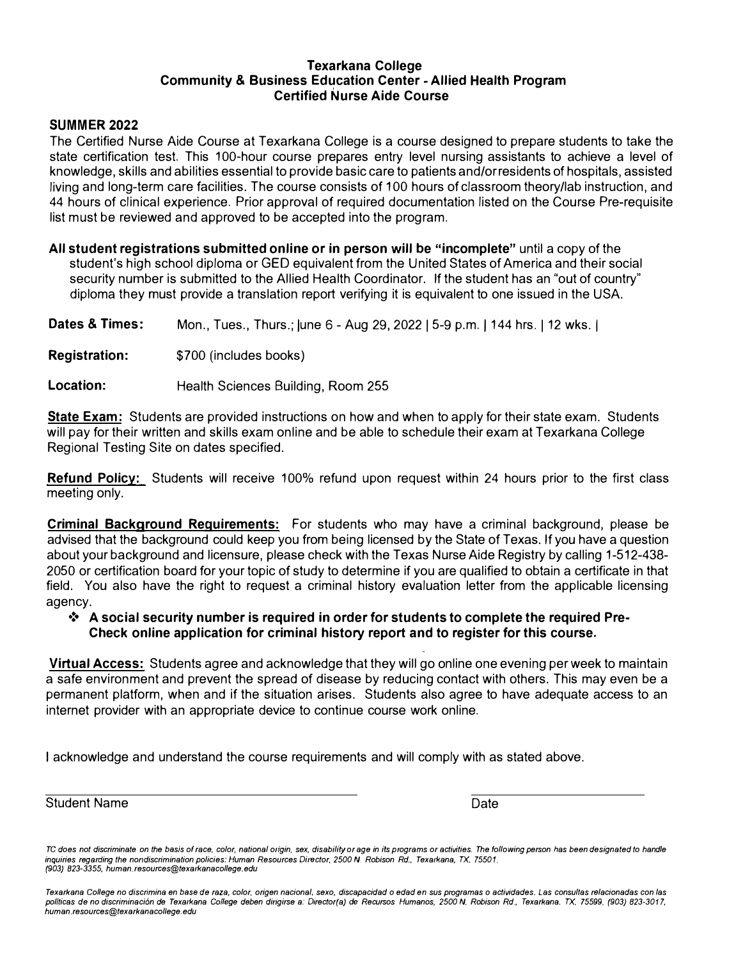#### **Texarkana College Community & Business Education Center - Allied Health Program Certified Nurse Aide Course**

## **SUMMER 2022**

The Certified Nurse Aide Course at Texarkana College is a course designed to prepare students to take the state certification test. This 100-hour course prepares entry level nursing assistants to achieve a level of knowledge, skills and abilities essential to provide basic care to patients and/orresidents of hospitals, assisted living and long-term care facilities. The course consists of 100 hours of classroom theory/lab instruction, and 44 hours of clinical experience. Prior approval of required documentation listed on the Course Pre-requisite list must be reviewed and approved to be accepted into the program.

**All student registrations submitted online or in person will be "incomplete"** until a copy of the student's high school diploma or GED equivalent from the United States of America and their social security number is submitted to the Allied Health Coordinator. If the student has an "out of country" diploma they must provide a translation report verifying it is equivalent to one issued in the USA.

| Dates & Times:       | Mon., Tues., Thurs.; June 6 - Aug 29, 2022   5-9 p.m.   144 hrs.   12 wks. |
|----------------------|----------------------------------------------------------------------------|
| <b>Registration:</b> | \$700 (includes books)                                                     |
| Location:            | Health Sciences Building, Room 255                                         |

**State Exam:** Students are provided instructions on how and when to apply for their state exam. Students will pay for their written and skills exam online and be able to schedule their exam at Texarkana College Regional Testing Site on dates specified.

**Refund Policy:** Students will receive 100% refund upon request within 24 hours prior to the first class meeting only.

**Criminal Background Requirements:** For students who may have a criminal background, please be advised that the background could keep you from being licensed by the State of Texas. If you have a question about your background and licensure, please check with the Texas Nurse Aide Registry by calling 1-512-438- 2050 or certification board for your topic of study to determine if you are qualified to obtain a certificate in that field. You also have the right to request a criminal history evaluation letter from the applicable licensing agency.

## **❖ A social security number is required in order for students to complete the required Pre-Check online application for criminal history report and to register for this course.**

**Virtual Access:** Students agree and acknowledge that they will go online one evening per week to maintain a safe environment and prevent the spread of disease by reducing contact with others. This may even be a permanent platform, when and if the situation arises. Students also agree to have adequate access to an internet provider with an appropriate device to continue course work online.

I acknowledge and understand the course requirements and will comply with as stated above.

Student Name Date

*Texarkana College no discrimina en* base *de raza, color, origen nacional, sexo, discapacidad o edad en sus programas o actividades. Las consul/as relacionadas con las politicas de no discriminaci6n de Texa1kana* **College** *deben dirigirse a: Director(a)* **de** *Recursos Humanos, 2500 N. Robison Rd., Texarkana. TX, 75599, (903) 823-3017, human .resources@texarkanacol/ege.edu* 

*TC does not discriminate on the* basis *of race. color, national origin, sex, disability or age in its programs or activities. The following person has been designated to handle inquiries regarding the nondiscrimination policies: Human Resources Director, 2500 N. Robison Rd., Texatkana, TX, 75501. (903) 823-3355, human.resources@texa1kanacollege.edu*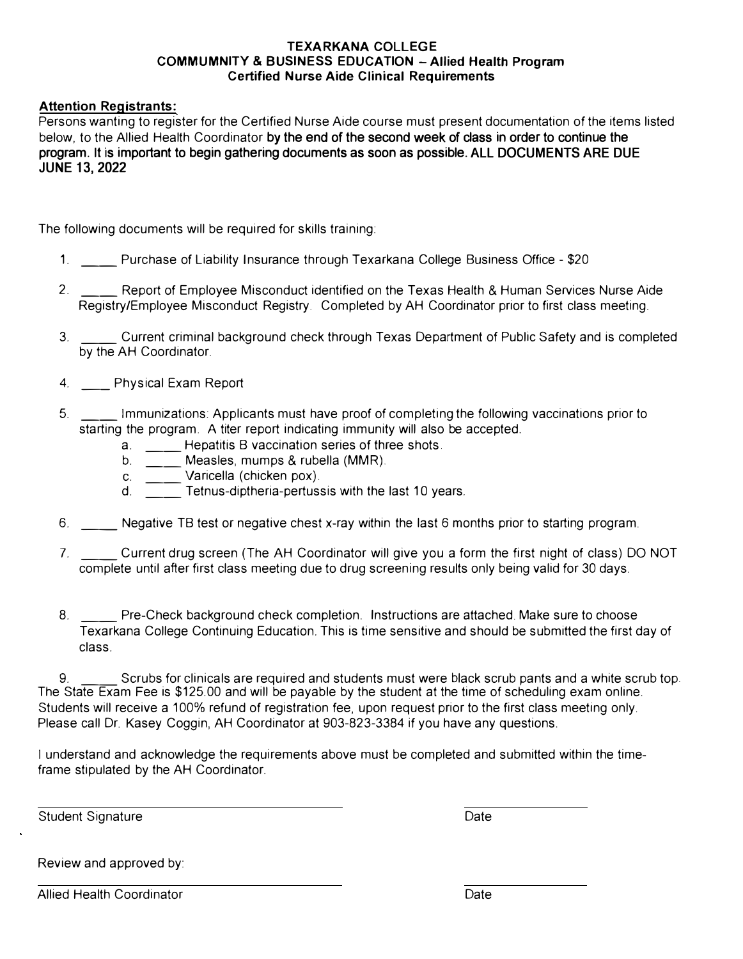## **TEXARKANA COLLEGE COMMUMNITY & BUSINESS EDUCATION -Allied Health Program Certified Nurse Aide Clinical Requirements**

## **Attention Registrants:**

Persons wanting to register for the Certified Nurse Aide course must present documentation of the items listed below, to the Allied Health Coordinator **by the end of the second week of class in order to continue the program. It is important to begin gathering documents as soon as possible. ALL DOCUMENTS ARE DUE JUNE 13, 2022**

The following documents will be required for skills training:

- 1. Purchase of Liability Insurance through Texarkana College Business Office \$20
- 2. \_\_\_ Report of Employee Misconduct identified on the Texas Health & Human Services Nurse Aide Registry/Employee Misconduct Registry. Completed by AH Coordinator prior to first class meeting.
- 3. \_\_\_\_\_\_ Current criminal background check through Texas Department of Public Safety and is completed. by the AH Coordinator.
- 4. \_\_ Physical Exam Report
- 5. \_\_ Immunizations: Applicants must have proof of completing the following vaccinations prior to starting the program. A titer report indicating immunity will also be accepted.
	- a. \_\_\_\_ Hepatitis B vaccination series of three shots.
	- b. \_\_ Measles, mumps & rubella **(MMR).**
	- c. \_\_\_ Varicella (chicken pox).
	- d. Tetnus-diptheria-pertussis with the last 10 years.
- 6. \_\_ Negative TB test or negative chest x-ray within the last 6 months prior to starting program.
- 7. \_\_ Current drug screen (The AH Coordinator will give you a form the first night of class) DO NOT complete until after first class meeting due to drug screening results only being valid for 30 days.
- 8. **Exercise Pre-Check background check completion.** Instructions are attached. Make sure to choose Texarkana College Continuing Education. This is time sensitive and should be submitted the first day of class.

9. \_\_ Scrubs for clinicals are required and students must were black scrub pants and a white scrub top. The State Exam Fee is \$125.00 and will be payable by the student at the time of scheduling exam online. Students will receive a 100% refund of registration fee, upon request prior to the first class meeting only. Please call Dr. Kasey Coggin, AH Coordinator at 903-823-3384 if you have any questions.

I understand and acknowledge the requirements above must be completed and submitted within the timeframe stipulated by the AH Coordinator.

Student Signature **Date** Date **Date** Date **Date** Date **Date** 

Review and approved by:

Allied Health Coordinator **Date Date Date Date**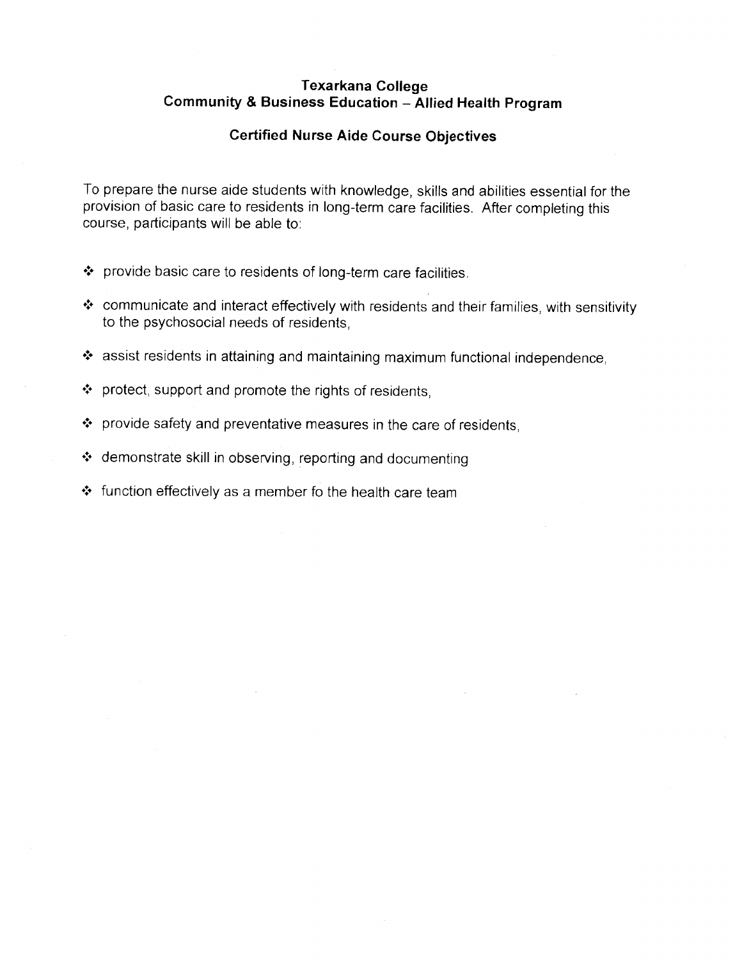## **Texarkana College** Community & Business Education - Allied Health Program

## **Certified Nurse Aide Course Objectives**

To prepare the nurse aide students with knowledge, skills and abilities essential for the provision of basic care to residents in long-term care facilities. After completing this course, participants will be able to:

- \* provide basic care to residents of long-term care facilities.
- \* communicate and interact effectively with residents and their families, with sensitivity to the psychosocial needs of residents.
- \* assist residents in attaining and maintaining maximum functional independence.
- ❖ protect, support and promote the rights of residents,
- ❖ provide safety and preventative measures in the care of residents,
- ❖ demonstrate skill in observing, reporting and documenting
- ❖ function effectively as a member fo the health care team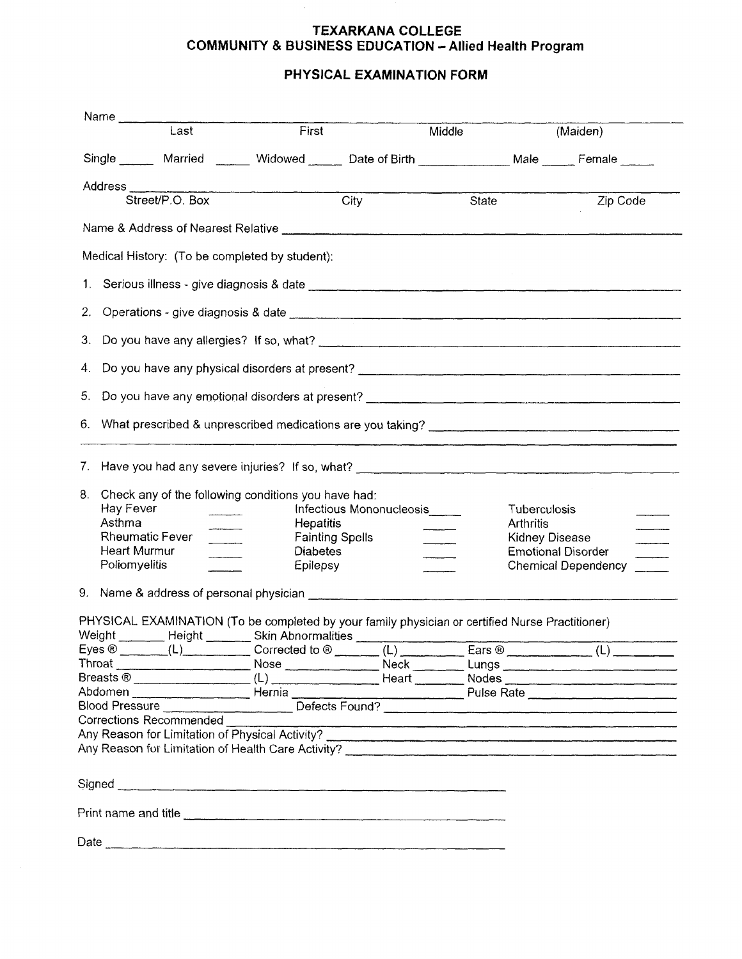## **TEXARKANA COLLEGE COMMUNITY & BUSINESS EDUCATION - Allied Health Program**

# PHYSICAL EXAMINATION FORM

|        | Name Last                                                                                                                                                                                                                                                                          |                                                                                                                                                                       |  |                                                                                                             |                                                                                                                                                                                                                                |  |
|--------|------------------------------------------------------------------------------------------------------------------------------------------------------------------------------------------------------------------------------------------------------------------------------------|-----------------------------------------------------------------------------------------------------------------------------------------------------------------------|--|-------------------------------------------------------------------------------------------------------------|--------------------------------------------------------------------------------------------------------------------------------------------------------------------------------------------------------------------------------|--|
|        |                                                                                                                                                                                                                                                                                    | First                                                                                                                                                                 |  | Middle                                                                                                      | (Maiden)                                                                                                                                                                                                                       |  |
|        |                                                                                                                                                                                                                                                                                    | Single _______ Married _______ Widowed ______ Date of Birth ______________ Male _____ Female _____                                                                    |  |                                                                                                             |                                                                                                                                                                                                                                |  |
|        |                                                                                                                                                                                                                                                                                    | Address City                                                                                                                                                          |  |                                                                                                             |                                                                                                                                                                                                                                |  |
|        |                                                                                                                                                                                                                                                                                    |                                                                                                                                                                       |  | State                                                                                                       | Zip Code                                                                                                                                                                                                                       |  |
|        |                                                                                                                                                                                                                                                                                    |                                                                                                                                                                       |  |                                                                                                             |                                                                                                                                                                                                                                |  |
|        |                                                                                                                                                                                                                                                                                    | Medical History: (To be completed by student):                                                                                                                        |  |                                                                                                             |                                                                                                                                                                                                                                |  |
|        |                                                                                                                                                                                                                                                                                    |                                                                                                                                                                       |  |                                                                                                             |                                                                                                                                                                                                                                |  |
|        |                                                                                                                                                                                                                                                                                    |                                                                                                                                                                       |  |                                                                                                             |                                                                                                                                                                                                                                |  |
|        |                                                                                                                                                                                                                                                                                    |                                                                                                                                                                       |  |                                                                                                             |                                                                                                                                                                                                                                |  |
|        |                                                                                                                                                                                                                                                                                    |                                                                                                                                                                       |  |                                                                                                             |                                                                                                                                                                                                                                |  |
|        |                                                                                                                                                                                                                                                                                    |                                                                                                                                                                       |  |                                                                                                             |                                                                                                                                                                                                                                |  |
|        |                                                                                                                                                                                                                                                                                    |                                                                                                                                                                       |  |                                                                                                             | 6. What prescribed & unprescribed medications are you taking? [14] The manner of the manner of the manner of the manner of the manner of the manner of the manner of the manner of the manner of the manner of the manner of t |  |
| 8.     | Check any of the following conditions you have had:<br>Hay Fever<br>Infectious Mononucleosis<br>Asthma<br><b>Hepatitis</b><br>--------<br><b>Rheumatic Fever</b><br><b>Fainting Spells</b><br>$\frac{1}{1}$<br><b>Heart Murmur</b><br><b>Diabetes</b><br>Poliomyelitis<br>Epilepsy |                                                                                                                                                                       |  | Tuberculosis<br><b>Arthritis</b><br>Kidney Disease<br><b>Emotional Disorder</b><br>Chemical Dependency ____ |                                                                                                                                                                                                                                |  |
|        |                                                                                                                                                                                                                                                                                    |                                                                                                                                                                       |  |                                                                                                             |                                                                                                                                                                                                                                |  |
|        |                                                                                                                                                                                                                                                                                    | PHYSICAL EXAMINATION (To be completed by your family physician or certified Nurse Practitioner)<br>Weight _______ Height _______ Skin Abnormalities _________________ |  |                                                                                                             |                                                                                                                                                                                                                                |  |
| Eyes ® |                                                                                                                                                                                                                                                                                    | $(L)$ Corrected to $\circledR$ (L)                                                                                                                                    |  | Ears $®$                                                                                                    | ________ (L) ___                                                                                                                                                                                                               |  |
|        |                                                                                                                                                                                                                                                                                    |                                                                                                                                                                       |  |                                                                                                             | Throat _________________________Nose ________________Neck __________Lungs __________________________                                                                                                                           |  |
|        |                                                                                                                                                                                                                                                                                    |                                                                                                                                                                       |  |                                                                                                             |                                                                                                                                                                                                                                |  |
|        |                                                                                                                                                                                                                                                                                    |                                                                                                                                                                       |  |                                                                                                             |                                                                                                                                                                                                                                |  |
|        | Corrections Recommended ____                                                                                                                                                                                                                                                       |                                                                                                                                                                       |  |                                                                                                             |                                                                                                                                                                                                                                |  |
|        |                                                                                                                                                                                                                                                                                    |                                                                                                                                                                       |  |                                                                                                             |                                                                                                                                                                                                                                |  |
|        |                                                                                                                                                                                                                                                                                    | Any Reason for Limitation of Physical Activity?                                                                                                                       |  |                                                                                                             |                                                                                                                                                                                                                                |  |
|        |                                                                                                                                                                                                                                                                                    | Signed <b>Constitution Constitution Constitution Constitution Constitution Constitution Constitution Constitution</b>                                                 |  |                                                                                                             |                                                                                                                                                                                                                                |  |
|        |                                                                                                                                                                                                                                                                                    |                                                                                                                                                                       |  |                                                                                                             |                                                                                                                                                                                                                                |  |
|        |                                                                                                                                                                                                                                                                                    |                                                                                                                                                                       |  |                                                                                                             |                                                                                                                                                                                                                                |  |
|        |                                                                                                                                                                                                                                                                                    |                                                                                                                                                                       |  |                                                                                                             |                                                                                                                                                                                                                                |  |